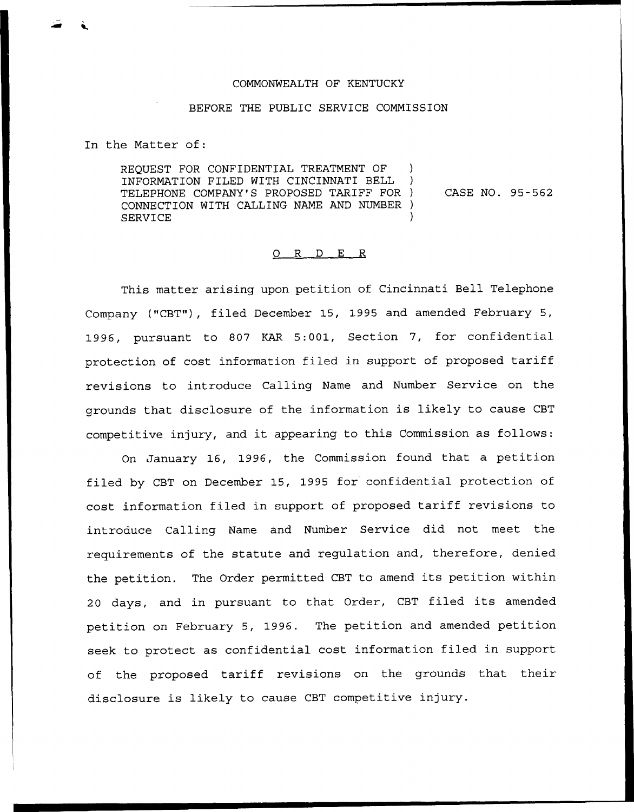## COMMONWEALTH OF KENTUCKY

## BEFORE THE PUBLIC SERVICE COMMISSION

In the Matter of:

REQUEST FOR CONFIDENTIAL TREATMENT OF INFORMATION FILED WITH CINCINNATI BELL ) TELEPHONE COMPANY'S PROPOSED TARIFF FOR ) CONNECTION WITH CALLING NAME AND NUMBER ) **SERVICE** CASE NO. 95-562

## 0 R <sup>D</sup> E R

This matter arising upon petition of Cincinnati Bell Telephone Company ("CBT"), filed December 15, 1995 and amended February 5, 1996, pursuant to 807 KAR 5:001, Section 7, for confidential protection of cost information filed in support of proposed tariff revisions to introduce Calling Name and Number Service on the grounds that disclosure of the information is likely to cause CBT competitive injury, and it appearing to this Commission as follows:

On January 16, 1996, the Commission found that a petition filed by CBT on December 15, 1995 for confidential protection of cost information filed in support of proposed tariff revisions to introduce Calling Name and Number Service did not meet the requirements of the statute and regulation and, therefore, denied the petition. The Order permitted CBT to amend its petition within <sup>20</sup> days, and in pursuant to that Order, CBT filed its amended petition on February 5, 1996. The petition and amended petition seek to protect as confidential cost information filed in support of the proposed tariff revisions on the grounds that their disclosure is likely to cause CBT competitive injury.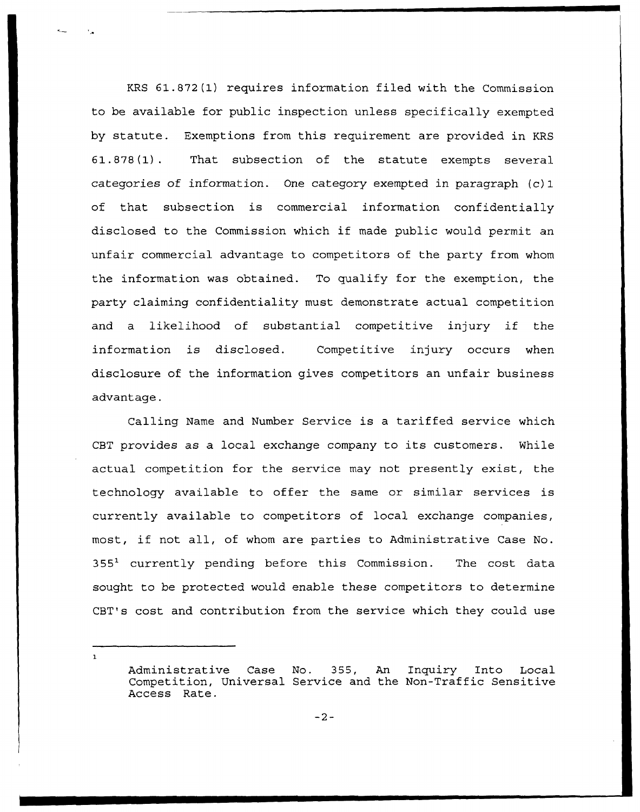KRS 61.872(1) requires information filed with the Commission to be available for public inspection unless specifically exempted by statute. Exemptions from this requirement are provided in KRS 61.878(1). That subsection of the statute exempts several categories of information. One category exempted in paragraph (c)1 of that subsection is commercial information confidentially disclosed to the Commission which if made public would permit an unfair commercial advantage to competitors of the party from whom the information was obtained. To qualify for the exemption, the party claiming confidentiality must demonstrate actual competition and <sup>a</sup> likelihood of substantial competitive injury if the information is disclosed. Competitive injury occurs when disclosure of the information gives competitors an unfair business advantage.

Calling Name and Number Service is a tariffed service which CBT provides as a local exchange company to its customers. While actual competition for the service may not presently exist, the technology available to offer the same or similar services is currently available to competitors of local exchange companies, most, if not all, of whom are parties to Administrative Case No.  $355<sup>1</sup>$  currently pending before this Commission. The cost data sought to be protected would enable these competitors to determine CBT's cost and contribution from the service which they could use

 $\mathbf{r}$ 

Administrative Case No. 355, An Inquiry Into Local Competition, Universal Service and the Non-Traffic Sensitive Access Rate.